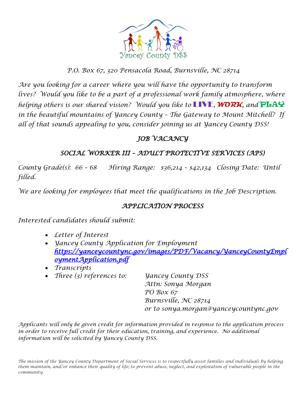

### *P.O. Box 67, 320 Pensacola Road, Burnsville, NC 28714*

*Are you looking for a career where you will have the opportunity to transform* lives? Would you like to be a part of a professional work family atmosphere, where *helping others is our shared vision? Would you like to* LIVE*,* **WORK***, and* PLAY *in the beautiful mountains of Yancey County – The Gateway to Mount Mitchell? If all of that sounds appealing to you, consider joining us at Yancey County DSS!* 

## *JOB VACANCY*

## *SOCIAL WORKER III – ADULT PROTECTIVE SERVICES (APS)*

*County Grade(s): 66 – 68 Hiring Range: \$36,214 – \$42,134 Closing Date: Until filled.*

*We are looking for employees that meet the qualifications in the Job Description.*

### *APPLICATION PROCESS*

*Interested candidates should submit:*

- *Letter of Interest*
- *Yancey County Application for Employment [https://yanceycountync.gov/images/PDF/Vacancy/YanceyCountyEmpl](https://yanceycountync.gov/images/PDF/Vacancy/YanceyCountyEmploymentApplication.pdf) [oymentApplication.pdf](https://yanceycountync.gov/images/PDF/Vacancy/YanceyCountyEmploymentApplication.pdf)*
- *Transcripts*
- *Three (3) references to: Yancey County DSS*

*Attn: Sonya Morgan PO Box 67 Burnsville, NC 28714 or to sonya.morgan@yanceycountync.gov*

*Applicants will only be given credit for information provided in response to the application process in order to receive full credit for their education, training, and experience. No additional information will be solicited by Yancey County DSS.*

*The mission of the Yancey County Department of Social Services is to respectfully assist families and individuals by helping them maintain, and/or enhance their quality of life; to prevent abuse, neglect, and exploitation of vulnerable people in the community.*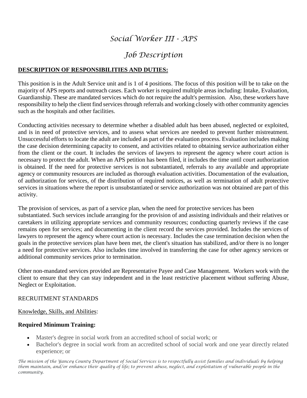# *Social Worker III - APS*

# *Job Description*

### **DESCRIPTION OF RESPONSIBILITIES AND DUTIES:**

This position is in the Adult Service unit and is 1 of 4 positions. The focus of this position will be to take on the majority of APS reports and outreach cases. Each worker is required multiple areas including: Intake, Evaluation, Guardianship. These are mandated services which do not require the adult's permission. Also, these workers have responsibility to help the client find services through referrals and working closely with other community agencies such as the hospitals and other facilities.

Conducting activities necessary to determine whether a disabled adult has been abused, neglected or exploited, and is in need of protective services, and to assess what services are needed to prevent further mistreatment. Unsuccessful efforts to locate the adult are included as part of the evaluation process. Evaluation includes making the case decision determining capacity to consent, and activities related to obtaining service authorization either from the client or the court. It includes the services of lawyers to represent the agency where court action is necessary to protect the adult. When an APS petition has been filed, it includes the time until court authorization is obtained. If the need for protective services is not substantiated, referrals to any available and appropriate agency or community resources are included as thorough evaluation activities. Documentation of the evaluation, of authorization for services, of the distribution of required notices, as well as termination of adult protective services in situations where the report is unsubstantiated or service authorization was not obtained are part of this activity.

The provision of services, as part of a service plan, when the need for protective services has been substantiated. Such services include arranging for the provision of and assisting individuals and their relatives or caretakers in utilizing appropriate services and community resources; conducting quarterly reviews if the case remains open for services; and documenting in the client record the services provided. Includes the services of lawyers to represent the agency where court action is necessary. Includes the case termination decision when the goals in the protective services plan have been met, the client's situation has stabilized, and/or there is no longer a need for protective services. Also includes time involved in transferring the case for other agency services or additional community services prior to termination.

Other non-mandated services provided are Representative Payee and Case Management. Workers work with the client to ensure that they can stay independent and in the least restrictive placement without suffering Abuse, Neglect or Exploitation.

#### RECRUITMENT STANDARDS

#### Knowledge, Skills, and Abilities:

### **Required Minimum Training:**

- Master's degree in social work from an accredited school of social work; or
- Bachelor's degree in social work from an accredited school of social work and one year directly related experience; or

*The mission of the Yancey County Department of Social Services is to respectfully assist families and individuals by helping them maintain, and/or enhance their quality of life; to prevent abuse, neglect, and exploitation of vulnerable people in the community.*